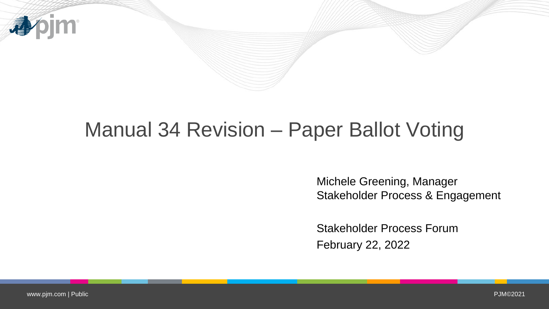

## Manual 34 Revision – Paper Ballot Voting

Michele Greening, Manager Stakeholder Process & Engagement

Stakeholder Process Forum February 22, 2022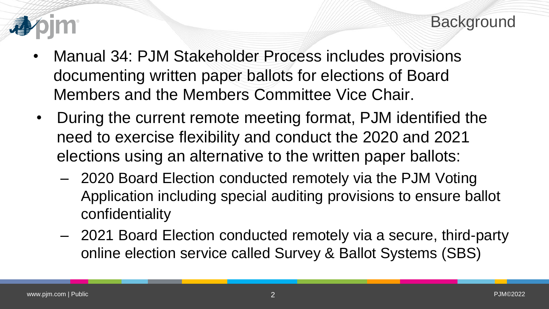

- Manual 34: PJM Stakeholder Process includes provisions documenting written paper ballots for elections of Board Members and the Members Committee Vice Chair.
- During the current remote meeting format, PJM identified the need to exercise flexibility and conduct the 2020 and 2021 elections using an alternative to the written paper ballots:
	- 2020 Board Election conducted remotely via the PJM Voting Application including special auditing provisions to ensure ballot confidentiality
	- 2021 Board Election conducted remotely via a secure, third-party online election service called Survey & Ballot Systems (SBS)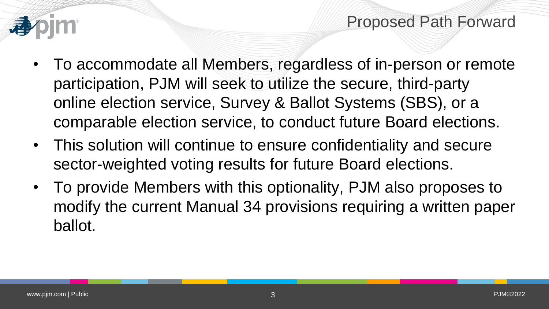



- To accommodate all Members, regardless of in-person or remote participation, PJM will seek to utilize the secure, third-party online election service, Survey & Ballot Systems (SBS), or a comparable election service, to conduct future Board elections.
- This solution will continue to ensure confidentiality and secure sector-weighted voting results for future Board elections.
- To provide Members with this optionality, PJM also proposes to modify the current Manual 34 provisions requiring a written paper ballot.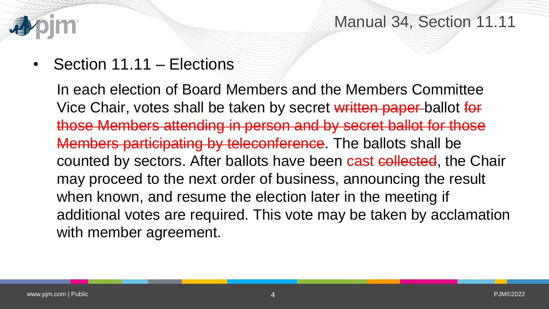

Manual 34, Section 11.11

• Section 11.11 – Elections

In each election of Board Members and the Members Committee Vice Chair, votes shall be taken by secret written paper ballot for those Members attending in person and by secret ballot for those Members participating by teleconference. The ballots shall be counted by sectors. After ballots have been cast collected, the Chair may proceed to the next order of business, announcing the result when known, and resume the election later in the meeting if additional votes are required. This vote may be taken by acclamation with member agreement.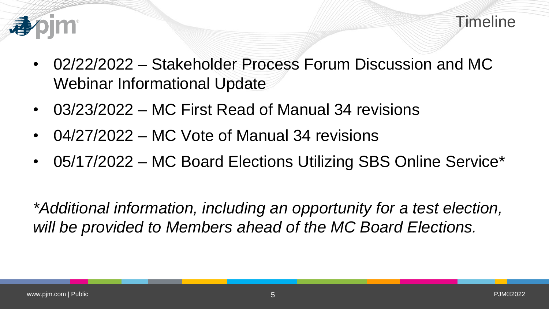

- 02/22/2022 Stakeholder Process Forum Discussion and MC Webinar Informational Update
- 03/23/2022 MC First Read of Manual 34 revisions
- 04/27/2022 MC Vote of Manual 34 revisions
- 05/17/2022 MC Board Elections Utilizing SBS Online Service\*

*\*Additional information, including an opportunity for a test election, will be provided to Members ahead of the MC Board Elections.*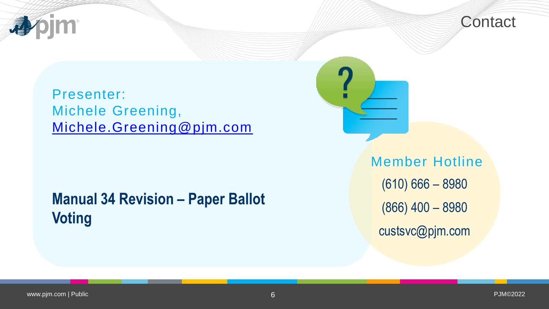



Presenter: Michele Greening, [Michele.Greening@pjm.com](mailto:Michele.Greening@pjm.com)

**Manual 34 Revision – Paper Ballot Voting** 

Member Hotline (610) 666 – 8980 (866) 400 – 8980 custsvc@pjm.com